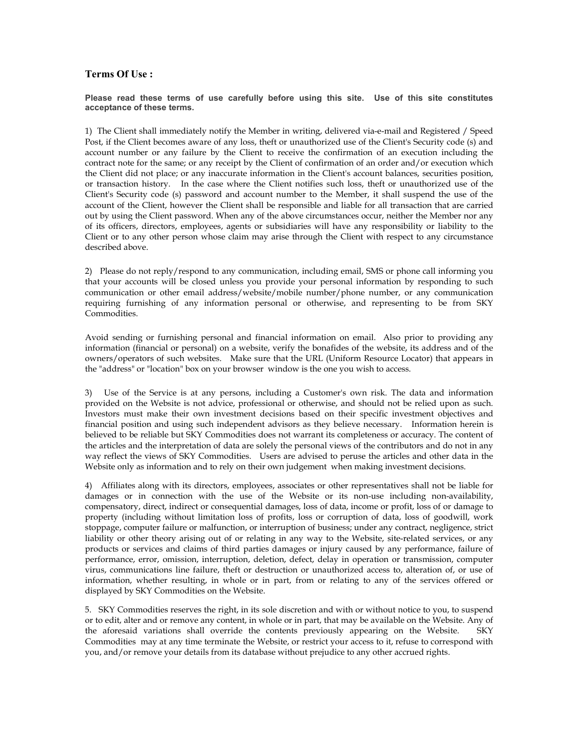## Terms Of Use :

## Please read these terms of use carefully before using this site. Use of this site constitutes acceptance of these terms.

1) The Client shall immediately notify the Member in writing, delivered via-e-mail and Registered / Speed Post, if the Client becomes aware of any loss, theft or unauthorized use of the Client's Security code (s) and account number or any failure by the Client to receive the confirmation of an execution including the contract note for the same; or any receipt by the Client of confirmation of an order and/or execution which the Client did not place; or any inaccurate information in the Client's account balances, securities position, or transaction history. In the case where the Client notifies such loss, theft or unauthorized use of the Client's Security code (s) password and account number to the Member, it shall suspend the use of the account of the Client, however the Client shall be responsible and liable for all transaction that are carried out by using the Client password. When any of the above circumstances occur, neither the Member nor any of its officers, directors, employees, agents or subsidiaries will have any responsibility or liability to the Client or to any other person whose claim may arise through the Client with respect to any circumstance described above.

2) Please do not reply/respond to any communication, including email, SMS or phone call informing you that your accounts will be closed unless you provide your personal information by responding to such communication or other email address/website/mobile number/phone number, or any communication requiring furnishing of any information personal or otherwise, and representing to be from SKY Commodities.

Avoid sending or furnishing personal and financial information on email. Also prior to providing any information (financial or personal) on a website, verify the bonafides of the website, its address and of the owners/operators of such websites. Make sure that the URL (Uniform Resource Locator) that appears in the "address" or "location" box on your browser window is the one you wish to access.

3) Use of the Service is at any persons, including a Customer's own risk. The data and information provided on the Website is not advice, professional or otherwise, and should not be relied upon as such. Investors must make their own investment decisions based on their specific investment objectives and financial position and using such independent advisors as they believe necessary. Information herein is believed to be reliable but SKY Commodities does not warrant its completeness or accuracy. The content of the articles and the interpretation of data are solely the personal views of the contributors and do not in any way reflect the views of SKY Commodities. Users are advised to peruse the articles and other data in the Website only as information and to rely on their own judgement when making investment decisions.

4) Affiliates along with its directors, employees, associates or other representatives shall not be liable for damages or in connection with the use of the Website or its non-use including non-availability, compensatory, direct, indirect or consequential damages, loss of data, income or profit, loss of or damage to property (including without limitation loss of profits, loss or corruption of data, loss of goodwill, work stoppage, computer failure or malfunction, or interruption of business; under any contract, negligence, strict liability or other theory arising out of or relating in any way to the Website, site-related services, or any products or services and claims of third parties damages or injury caused by any performance, failure of performance, error, omission, interruption, deletion, defect, delay in operation or transmission, computer virus, communications line failure, theft or destruction or unauthorized access to, alteration of, or use of information, whether resulting, in whole or in part, from or relating to any of the services offered or displayed by SKY Commodities on the Website.

5. SKY Commodities reserves the right, in its sole discretion and with or without notice to you, to suspend or to edit, alter and or remove any content, in whole or in part, that may be available on the Website. Any of the aforesaid variations shall override the contents previously appearing on the Website. SKY Commodities may at any time terminate the Website, or restrict your access to it, refuse to correspond with you, and/or remove your details from its database without prejudice to any other accrued rights.